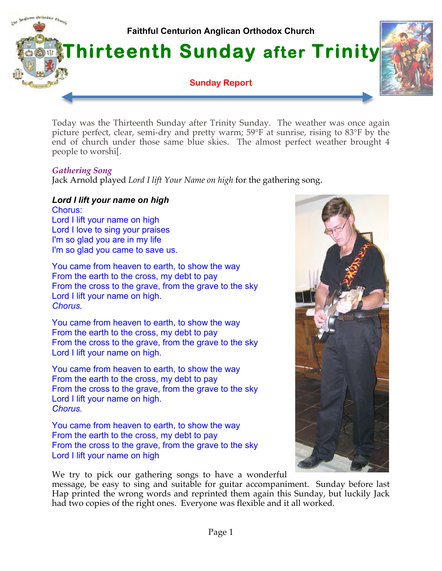

Today was the Thirteenth Sunday after Trinity Sunday. The weather was once again picture perfect, clear, semi-dry and pretty warm; 59°F at sunrise, rising to 83°F by the end of church under those same blue skies. The almost perfect weather brought 4 people to worshi[.

## *Gathering Song*

Jack Arnold played *Lord I lift Your Name on high* for the gathering song.

# *Lord I lift your name on high*

Chorus: Lord I lift your name on high Lord I love to sing your praises I'm so glad you are in my life I'm so glad you came to save us.

You came from heaven to earth, to show the way From the earth to the cross, my debt to pay From the cross to the grave, from the grave to the sky Lord I lift your name on high. *Chorus.*

You came from heaven to earth, to show the way From the earth to the cross, my debt to pay From the cross to the grave, from the grave to the sky Lord I lift your name on high.

You came from heaven to earth, to show the way From the earth to the cross, my debt to pay From the cross to the grave, from the grave to the sky Lord I lift your name on high. *Chorus.*

You came from heaven to earth, to show the way From the earth to the cross, my debt to pay From the cross to the grave, from the grave to the sky Lord I lift your name on high

We try to pick our gathering songs to have a wonderful

message, be easy to sing and suitable for guitar accompaniment. Sunday before last Hap printed the wrong words and reprinted them again this Sunday, but luckily Jack had two copies of the right ones. Everyone was flexible and it all worked.

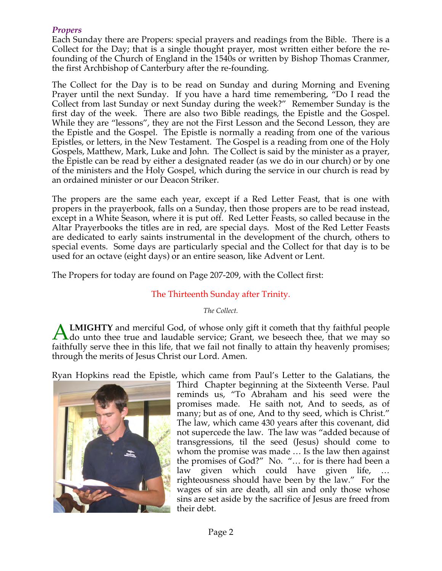# *Propers*

Each Sunday there are Propers: special prayers and readings from the Bible. There is a Collect for the Day; that is a single thought prayer, most written either before the refounding of the Church of England in the 1540s or written by Bishop Thomas Cranmer, the first Archbishop of Canterbury after the re-founding.

The Collect for the Day is to be read on Sunday and during Morning and Evening Prayer until the next Sunday. If you have a hard time remembering, "Do I read the Collect from last Sunday or next Sunday during the week?" Remember Sunday is the first day of the week. There are also two Bible readings, the Epistle and the Gospel. While they are "lessons", they are not the First Lesson and the Second Lesson, they are the Epistle and the Gospel. The Epistle is normally a reading from one of the various Epistles, or letters, in the New Testament. The Gospel is a reading from one of the Holy Gospels, Matthew, Mark, Luke and John. The Collect is said by the minister as a prayer, the Epistle can be read by either a designated reader (as we do in our church) or by one of the ministers and the Holy Gospel, which during the service in our church is read by an ordained minister or our Deacon Striker.

The propers are the same each year, except if a Red Letter Feast, that is one with propers in the prayerbook, falls on a Sunday, then those propers are to be read instead, except in a White Season, where it is put off. Red Letter Feasts, so called because in the Altar Prayerbooks the titles are in red, are special days. Most of the Red Letter Feasts are dedicated to early saints instrumental in the development of the church, others to special events. Some days are particularly special and the Collect for that day is to be used for an octave (eight days) or an entire season, like Advent or Lent.

The Propers for today are found on Page 207-209, with the Collect first:

# The Thirteenth Sunday after Trinity.

### *The Collect.*

**LMIGHTY** and merciful God, of whose only gift it cometh that thy faithful people **ALMIGHTY** and merciful God, of whose only gift it cometh that thy faithful people<br>do unto thee true and laudable service; Grant, we beseech thee, that we may so faithfully serve thee in this life, that we fail not finally to attain thy heavenly promises; through the merits of Jesus Christ our Lord. Amen.

Ryan Hopkins read the Epistle, which came from Paul's Letter to the Galatians, the



Third Chapter beginning at the Sixteenth Verse. Paul reminds us, "To Abraham and his seed were the promises made. He saith not, And to seeds, as of many; but as of one, And to thy seed, which is Christ." The law, which came 430 years after this covenant, did not supercede the law. The law was "added because of transgressions, til the seed (Jesus) should come to whom the promise was made … Is the law then against the promises of God?" No. "… for is there had been a law given which could have given life, righteousness should have been by the law." For the wages of sin are death, all sin and only those whose sins are set aside by the sacrifice of Jesus are freed from their debt.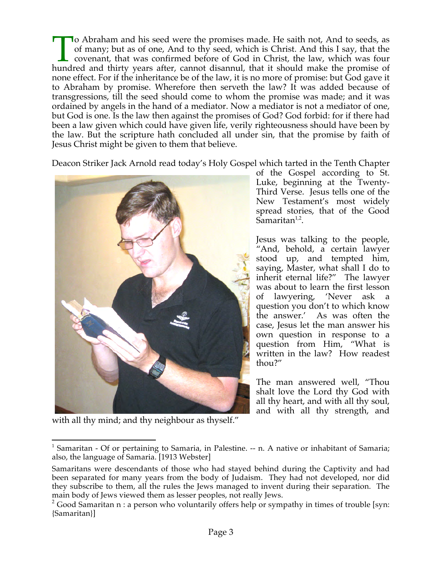**To Abraham and his seed were the promises made. He saith not, And to seeds, as** of many; but as of one, And to thy seed, which is Christ. And this I say, that the covenant, that was confirmed before of God in Christ, the law, which was four To Abraham and his seed were the promises made. He saith not, And to seeds, as of many; but as of one, And to thy seed, which is Christ. And this I say, that the covenant, that was confirmed before of God in Christ, the la none effect. For if the inheritance be of the law, it is no more of promise: but God gave it to Abraham by promise. Wherefore then serveth the law? It was added because of transgressions, till the seed should come to whom the promise was made; and it was ordained by angels in the hand of a mediator. Now a mediator is not a mediator of one, but God is one. Is the law then against the promises of God? God forbid: for if there had been a law given which could have given life, verily righteousness should have been by the law. But the scripture hath concluded all under sin, that the promise by faith of Jesus Christ might be given to them that believe.

Deacon Striker Jack Arnold read today's Holy Gospel which tarted in the Tenth Chapter



of the Gospel according to St. Luke, beginning at the Twenty-Third Verse. Jesus tells one of the New Testament's most widely spread stories, that of the Good  $S$ amaritan $1,2$ .

Jesus was talking to the people, "And, behold, a certain lawyer stood up, and tempted him, saying, Master, what shall I do to inherit eternal life?" The lawyer was about to learn the first lesson of lawyering, 'Never ask a question you don't to which know the answer.' As was often the case, Jesus let the man answer his own question in response to a question from Him, "What is written in the law? How readest thou?"

The man answered well, "Thou shalt love the Lord thy God with all thy heart, and with all thy soul, and with all thy strength, and

with all thy mind; and thy neighbour as thyself."

 $\frac{1}{1}$ <sup>1</sup> Samaritan - Of or pertaining to Samaria, in Palestine.  $-$  n. A native or inhabitant of Samaria; also, the language of Samaria. [1913 Webster]

Samaritans were descendants of those who had stayed behind during the Captivity and had been separated for many years from the body of Judaism. They had not developed, nor did they subscribe to them, all the rules the Jews managed to invent during their separation. The main body of Jews viewed them as lesser peoples, not really Jews.

 $2^2$  Good Samaritan n : a person who voluntarily offers help or sympathy in times of trouble [syn: {Samaritan}]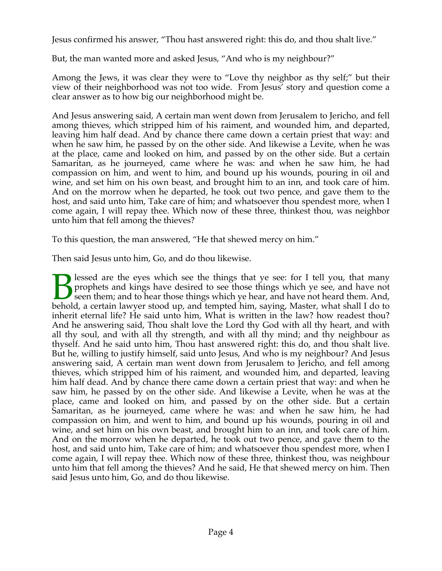Jesus confirmed his answer, "Thou hast answered right: this do, and thou shalt live."

But, the man wanted more and asked Jesus, "And who is my neighbour?"

Among the Jews, it was clear they were to "Love thy neighbor as thy self;" but their view of their neighborhood was not too wide. From Jesus' story and question come a clear answer as to how big our neighborhood might be.

And Jesus answering said, A certain man went down from Jerusalem to Jericho, and fell among thieves, which stripped him of his raiment, and wounded him, and departed, leaving him half dead. And by chance there came down a certain priest that way: and when he saw him, he passed by on the other side. And likewise a Levite, when he was at the place, came and looked on him, and passed by on the other side. But a certain Samaritan, as he journeyed, came where he was: and when he saw him, he had compassion on him, and went to him, and bound up his wounds, pouring in oil and wine, and set him on his own beast, and brought him to an inn, and took care of him. And on the morrow when he departed, he took out two pence, and gave them to the host, and said unto him, Take care of him; and whatsoever thou spendest more, when I come again, I will repay thee. Which now of these three, thinkest thou, was neighbor unto him that fell among the thieves?

To this question, the man answered, "He that shewed mercy on him."

Then said Jesus unto him, Go, and do thou likewise.

lessed are the eyes which see the things that ye see: for I tell you, that many prophets and kings have desired to see those things which ye see, and have not seen them; and to hear those things which ye hear, and have not heard them. And, behold, a certain lawyer stood up, and tempted him, saying, Master, what shall I do to inherit eternal life? He said unto him, What is written in the law? how readest thou? And he answering said, Thou shalt love the Lord thy God with all thy heart, and with all thy soul, and with all thy strength, and with all thy mind; and thy neighbour as thyself. And he said unto him, Thou hast answered right: this do, and thou shalt live. But he, willing to justify himself, said unto Jesus, And who is my neighbour? And Jesus answering said, A certain man went down from Jerusalem to Jericho, and fell among thieves, which stripped him of his raiment, and wounded him, and departed, leaving him half dead. And by chance there came down a certain priest that way: and when he saw him, he passed by on the other side. And likewise a Levite, when he was at the place, came and looked on him, and passed by on the other side. But a certain Samaritan, as he journeyed, came where he was: and when he saw him, he had compassion on him, and went to him, and bound up his wounds, pouring in oil and wine, and set him on his own beast, and brought him to an inn, and took care of him. And on the morrow when he departed, he took out two pence, and gave them to the host, and said unto him, Take care of him; and whatsoever thou spendest more, when I come again, I will repay thee. Which now of these three, thinkest thou, was neighbour unto him that fell among the thieves? And he said, He that shewed mercy on him. Then said Jesus unto him, Go, and do thou likewise. **B**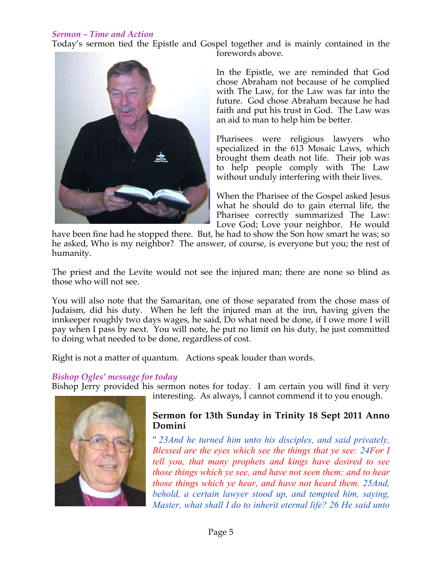### *Sermon – Time and Action*

Today's sermon tied the Epistle and Gospel together and is mainly contained in the forewords above.



In the Epistle, we are reminded that God chose Abraham not because of he complied with The Law, for the Law was far into the future. God chose Abraham because he had faith and put his trust in God. The Law was an aid to man to help him be better.

Pharisees were religious lawyers who specialized in the 613 Mosaic Laws, which brought them death not life. Their job was to help people comply with The Law without unduly interfering with their lives.

When the Pharisee of the Gospel asked Jesus what he should do to gain eternal life, the Pharisee correctly summarized The Law: Love God; Love your neighbor. He would

have been fine had he stopped there. But, he had to show the Son how smart he was; so he asked, Who is my neighbor? The answer, of course, is everyone but you; the rest of humanity.

The priest and the Levite would not see the injured man; there are none so blind as those who will not see.

You will also note that the Samaritan, one of those separated from the chose mass of Judaism, did his duty. When he left the injured man at the inn, having given the innkeeper roughly two days wages, he said, Do what need be done, if I owe more I will pay when I pass by next. You will note, he put no limit on his duty, he just committed to doing what needed to be done, regardless of cost.

Right is not a matter of quantum. Actions speak louder than words.

### *Bishop Ogles' message for today*

Bishop Jerry provided his sermon notes for today. I am certain you will find it very interesting. As always, I cannot commend it to you enough.



# **Sermon for 13th Sunday in Trinity 18 Sept 2011 Anno Domini**

" *23And he turned him unto his disciples, and said privately, Blessed are the eyes which see the things that ye see: 24For I tell you, that many prophets and kings have desired to see those things which ye see, and have not seen them; and to hear those things which ye hear, and have not heard them. 25And, behold, a certain lawyer stood up, and tempted him, saying, Master, what shall I do to inherit eternal life? 26 He said unto*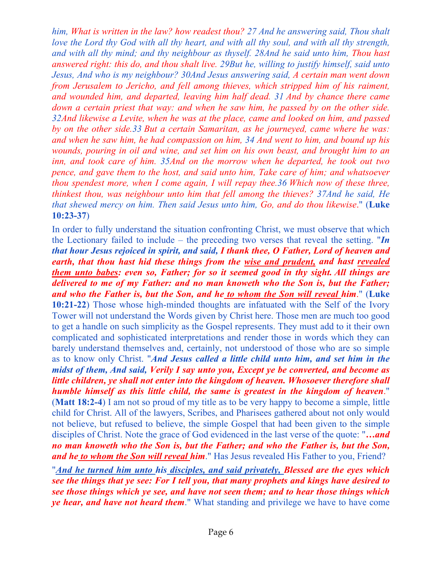*him, What is written in the law? how readest thou? 27 And he answering said, Thou shalt love the Lord thy God with all thy heart, and with all thy soul, and with all thy strength, and with all thy mind; and thy neighbour as thyself. 28And he said unto him, Thou hast answered right: this do, and thou shalt live. 29But he, willing to justify himself, said unto Jesus, And who is my neighbour? 30And Jesus answering said, A certain man went down from Jerusalem to Jericho, and fell among thieves, which stripped him of his raiment, and wounded him, and departed, leaving him half dead. 31 And by chance there came down a certain priest that way: and when he saw him, he passed by on the other side. 32And likewise a Levite, when he was at the place, came and looked on him, and passed by on the other side.33 But a certain Samaritan, as he journeyed, came where he was: and when he saw him, he had compassion on him, 34 And went to him, and bound up his wounds, pouring in oil and wine, and set him on his own beast, and brought him to an inn, and took care of him. 35And on the morrow when he departed, he took out two pence, and gave them to the host, and said unto him, Take care of him; and whatsoever thou spendest more, when I come again, I will repay thee.36 Which now of these three, thinkest thou, was neighbour unto him that fell among the thieves? 37And he said, He that shewed mercy on him. Then said Jesus unto him, Go, and do thou likewise*." (**Luke 10:23-37**)

In order to fully understand the situation confronting Christ, we must observe that which the Lectionary failed to include – the preceding two verses that reveal the setting. "*In that hour Jesus rejoiced in spirit, and said, I thank thee, O Father, Lord of heaven and earth, that thou hast hid these things from the wise and prudent, and hast revealed them unto babes: even so, Father; for so it seemed good in thy sight. All things are delivered to me of my Father: and no man knoweth who the Son is, but the Father; and who the Father is, but the Son, and he to whom the Son will reveal him*." (**Luke 10:21-22**) Those whose high-minded thoughts are infatuated with the Self of the Ivory Tower will not understand the Words given by Christ here. Those men are much too good to get a handle on such simplicity as the Gospel represents. They must add to it their own complicated and sophisticated interpretations and render those in words which they can barely understand themselves and, certainly, not understood of those who are so simple as to know only Christ. "*And Jesus called a little child unto him, and set him in the midst of them, And said, Verily I say unto you, Except ye be converted, and become as little children, ye shall not enter into the kingdom of heaven. Whosoever therefore shall humble himself as this little child, the same is greatest in the kingdom of heaven*." (**Matt 18:2-4**) I am not so proud of my title as to be very happy to become a simple, little child for Christ. All of the lawyers, Scribes, and Pharisees gathered about not only would not believe, but refused to believe, the simple Gospel that had been given to the simple disciples of Christ. Note the grace of God evidenced in the last verse of the quote: "*…and no man knoweth who the Son is, but the Father; and who the Father is, but the Son, and he to whom the Son will reveal him*." Has Jesus revealed His Father to you, Friend?

"*And he turned him unto his disciples, and said privately, Blessed are the eyes which see the things that ye see: For I tell you, that many prophets and kings have desired to see those things which ye see, and have not seen them; and to hear those things which ye hear, and have not heard them*." What standing and privilege we have to have come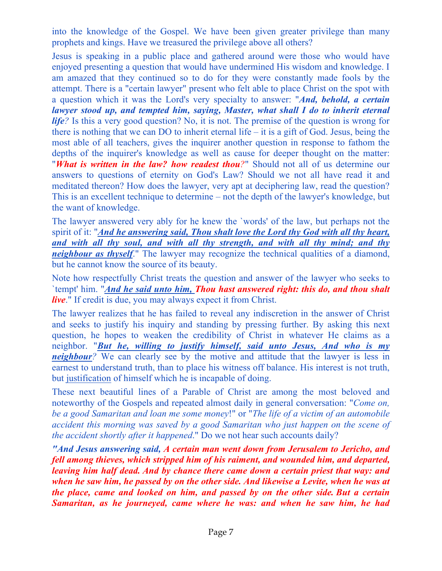into the knowledge of the Gospel. We have been given greater privilege than many prophets and kings. Have we treasured the privilege above all others?

Jesus is speaking in a public place and gathered around were those who would have enjoyed presenting a question that would have undermined His wisdom and knowledge. I am amazed that they continued so to do for they were constantly made fools by the attempt. There is a "certain lawyer" present who felt able to place Christ on the spot with a question which it was the Lord's very specialty to answer: "*And, behold, a certain lawyer stood up, and tempted him, saying, Master, what shall I do to inherit eternal life?* Is this a very good question? No, it is not. The premise of the question is wrong for there is nothing that we can DO to inherit eternal life – it is a gift of God. Jesus, being the most able of all teachers, gives the inquirer another question in response to fathom the depths of the inquirer's knowledge as well as cause for deeper thought on the matter: "*What is written in the law? how readest thou?*" Should not all of us determine our answers to questions of eternity on God's Law? Should we not all have read it and meditated thereon? How does the lawyer, very apt at deciphering law, read the question? This is an excellent technique to determine – not the depth of the lawyer's knowledge, but the want of knowledge.

The lawyer answered very ably for he knew the `words' of the law, but perhaps not the spirit of it: "*And he answering said, Thou shalt love the Lord thy God with all thy heart, and with all thy soul, and with all thy strength, and with all thy mind; and thy neighbour as thyself.*" The lawyer may recognize the technical qualities of a diamond, but he cannot know the source of its beauty.

Note how respectfully Christ treats the question and answer of the lawyer who seeks to `tempt' him. "*And he said unto him, Thou hast answered right: this do, and thou shalt live*." If credit is due, you may always expect it from Christ.

The lawyer realizes that he has failed to reveal any indiscretion in the answer of Christ and seeks to justify his inquiry and standing by pressing further. By asking this next question, he hopes to weaken the credibility of Christ in whatever He claims as a neighbor. "*But he, willing to justify himself, said unto Jesus, And who is my neighbour?* We can clearly see by the motive and attitude that the lawyer is less in earnest to understand truth, than to place his witness off balance. His interest is not truth, but justification of himself which he is incapable of doing.

These next beautiful lines of a Parable of Christ are among the most beloved and noteworthy of the Gospels and repeated almost daily in general conversation: "*Come on, be a good Samaritan and loan me some money*!" or "*The life of a victim of an automobile accident this morning was saved by a good Samaritan who just happen on the scene of the accident shortly after it happened*." Do we not hear such accounts daily?

*"And Jesus answering said, A certain man went down from Jerusalem to Jericho, and fell among thieves, which stripped him of his raiment, and wounded him, and departed, leaving him half dead. And by chance there came down a certain priest that way: and when he saw him, he passed by on the other side. And likewise a Levite, when he was at the place, came and looked on him, and passed by on the other side. But a certain Samaritan, as he journeyed, came where he was: and when he saw him, he had*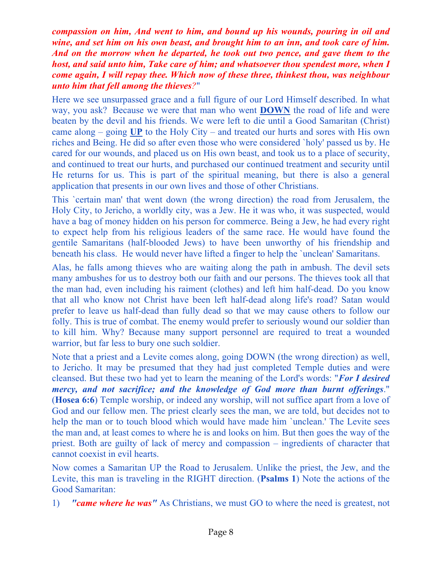# *compassion on him, And went to him, and bound up his wounds, pouring in oil and wine, and set him on his own beast, and brought him to an inn, and took care of him. And on the morrow when he departed, he took out two pence, and gave them to the host, and said unto him, Take care of him; and whatsoever thou spendest more, when I come again, I will repay thee. Which now of these three, thinkest thou, was neighbour unto him that fell among the thieves?*"

Here we see unsurpassed grace and a full figure of our Lord Himself described. In what way, you ask? Because we were that man who went **DOWN** the road of life and were beaten by the devil and his friends. We were left to die until a Good Samaritan (Christ) came along – going **UP** to the Holy City – and treated our hurts and sores with His own riches and Being. He did so after even those who were considered `holy' passed us by. He cared for our wounds, and placed us on His own beast, and took us to a place of security, and continued to treat our hurts, and purchased our continued treatment and security until He returns for us. This is part of the spiritual meaning, but there is also a general application that presents in our own lives and those of other Christians.

This `certain man' that went down (the wrong direction) the road from Jerusalem, the Holy City, to Jericho, a worldly city, was a Jew. He it was who, it was suspected, would have a bag of money hidden on his person for commerce. Being a Jew, he had every right to expect help from his religious leaders of the same race. He would have found the gentile Samaritans (half-blooded Jews) to have been unworthy of his friendship and beneath his class. He would never have lifted a finger to help the `unclean' Samaritans.

Alas, he falls among thieves who are waiting along the path in ambush. The devil sets many ambushes for us to destroy both our faith and our persons. The thieves took all that the man had, even including his raiment (clothes) and left him half-dead. Do you know that all who know not Christ have been left half-dead along life's road? Satan would prefer to leave us half-dead than fully dead so that we may cause others to follow our folly. This is true of combat. The enemy would prefer to seriously wound our soldier than to kill him. Why? Because many support personnel are required to treat a wounded warrior, but far less to bury one such soldier.

Note that a priest and a Levite comes along, going DOWN (the wrong direction) as well, to Jericho. It may be presumed that they had just completed Temple duties and were cleansed. But these two had yet to learn the meaning of the Lord's words: "*For I desired mercy, and not sacrifice; and the knowledge of God more than burnt offerings*." (**Hosea 6:6**) Temple worship, or indeed any worship, will not suffice apart from a love of God and our fellow men. The priest clearly sees the man, we are told, but decides not to help the man or to touch blood which would have made him `unclean.' The Levite sees the man and, at least comes to where he is and looks on him. But then goes the way of the priest. Both are guilty of lack of mercy and compassion – ingredients of character that cannot coexist in evil hearts.

Now comes a Samaritan UP the Road to Jerusalem. Unlike the priest, the Jew, and the Levite, this man is traveling in the RIGHT direction. (**Psalms 1**) Note the actions of the Good Samaritan:

1) *"came where he was"* As Christians, we must GO to where the need is greatest, not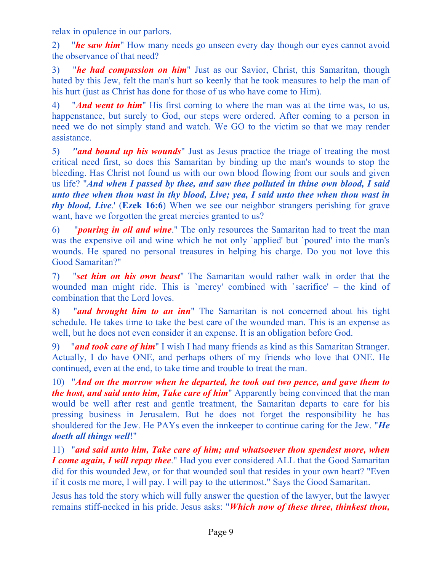relax in opulence in our parlors.

2) "*he saw him*" How many needs go unseen every day though our eyes cannot avoid the observance of that need?

3) "*he had compassion on him*" Just as our Savior, Christ, this Samaritan, though hated by this Jew, felt the man's hurt so keenly that he took measures to help the man of his hurt (just as Christ has done for those of us who have come to Him).

4) "*And went to him*" His first coming to where the man was at the time was, to us, happenstance, but surely to God, our steps were ordered. After coming to a person in need we do not simply stand and watch. We GO to the victim so that we may render assistance.

5) *"and bound up his wounds*" Just as Jesus practice the triage of treating the most critical need first, so does this Samaritan by binding up the man's wounds to stop the bleeding. Has Christ not found us with our own blood flowing from our souls and given us life? "*And when I passed by thee, and saw thee polluted in thine own blood, I said unto thee when thou wast in thy blood, Live; yea, I said unto thee when thou wast in thy blood, Live*.' (**Ezek 16:6**) When we see our neighbor strangers perishing for grave want, have we forgotten the great mercies granted to us?

6) "*pouring in oil and wine*." The only resources the Samaritan had to treat the man was the expensive oil and wine which he not only 'applied' but 'poured' into the man's wounds. He spared no personal treasures in helping his charge. Do you not love this Good Samaritan?"

7) "*set him on his own beast*" The Samaritan would rather walk in order that the wounded man might ride. This is `mercy' combined with `sacrifice' – the kind of combination that the Lord loves.

8) "*and brought him to an inn*" The Samaritan is not concerned about his tight schedule. He takes time to take the best care of the wounded man. This is an expense as well, but he does not even consider it an expense. It is an obligation before God.

9) "*and took care of him*" I wish I had many friends as kind as this Samaritan Stranger. Actually, I do have ONE, and perhaps others of my friends who love that ONE. He continued, even at the end, to take time and trouble to treat the man.

10) "*And on the morrow when he departed, he took out two pence, and gave them to the host, and said unto him, Take care of him*" Apparently being convinced that the man would be well after rest and gentle treatment, the Samaritan departs to care for his pressing business in Jerusalem. But he does not forget the responsibility he has shouldered for the Jew. He PAYs even the innkeeper to continue caring for the Jew. "*He doeth all things well*!"

11) "*and said unto him, Take care of him; and whatsoever thou spendest more, when I come again, I will repay thee*." Had you ever considered ALL that the Good Samaritan did for this wounded Jew, or for that wounded soul that resides in your own heart? "Even if it costs me more, I will pay. I will pay to the uttermost." Says the Good Samaritan.

Jesus has told the story which will fully answer the question of the lawyer, but the lawyer remains stiff-necked in his pride. Jesus asks: "*Which now of these three, thinkest thou,*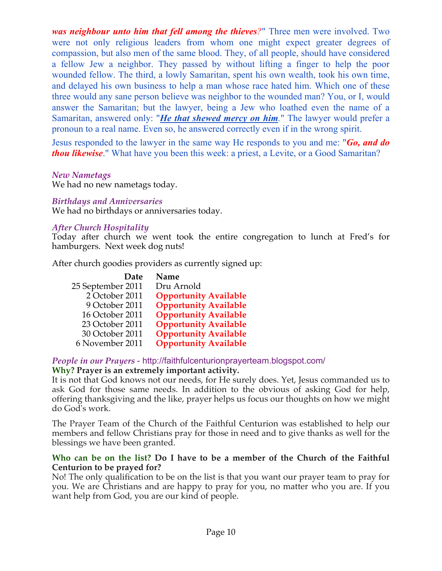*was neighbour unto him that fell among the thieves?*" Three men were involved. Two were not only religious leaders from whom one might expect greater degrees of compassion, but also men of the same blood. They, of all people, should have considered a fellow Jew a neighbor. They passed by without lifting a finger to help the poor wounded fellow. The third, a lowly Samaritan, spent his own wealth, took his own time, and delayed his own business to help a man whose race hated him. Which one of these three would any sane person believe was neighbor to the wounded man? You, or I, would answer the Samaritan; but the lawyer, being a Jew who loathed even the name of a Samaritan, answered only: "*He that shewed mercy on him.*" The lawyer would prefer a pronoun to a real name. Even so, he answered correctly even if in the wrong spirit.

Jesus responded to the lawyer in the same way He responds to you and me: "*Go, and do thou likewise*." What have you been this week: a priest, a Levite, or a Good Samaritan?

*New Nametags*

We had no new nametags today.

*Birthdays and Anniversaries* We had no birthdays or anniversaries today.

## *After Church Hospitality*

Today after church we went took the entire congregation to lunch at Fred's for hamburgers. Next week dog nuts!

After church goodies providers as currently signed up:

| Date              | Name                         |
|-------------------|------------------------------|
| 25 September 2011 | Dru Arnold                   |
| 2 October 2011    | <b>Opportunity Available</b> |
| 9 October 2011    | <b>Opportunity Available</b> |
| 16 October 2011   | <b>Opportunity Available</b> |
| 23 October 2011   | <b>Opportunity Available</b> |
| 30 October 2011   | <b>Opportunity Available</b> |
| 6 November 2011   | <b>Opportunity Available</b> |

*People in our Prayers* - http://faithfulcenturionprayerteam.blogspot.com/

### **Why? Prayer is an extremely important activity.**

It is not that God knows not our needs, for He surely does. Yet, Jesus commanded us to ask God for those same needs. In addition to the obvious of asking God for help, offering thanksgiving and the like, prayer helps us focus our thoughts on how we might do God's work.

The Prayer Team of the Church of the Faithful Centurion was established to help our members and fellow Christians pray for those in need and to give thanks as well for the blessings we have been granted.

#### **Who can be on the list? Do I have to be a member of the Church of the Faithful Centurion to be prayed for?**

No! The only qualification to be on the list is that you want our prayer team to pray for you. We are Christians and are happy to pray for you, no matter who you are. If you want help from God, you are our kind of people.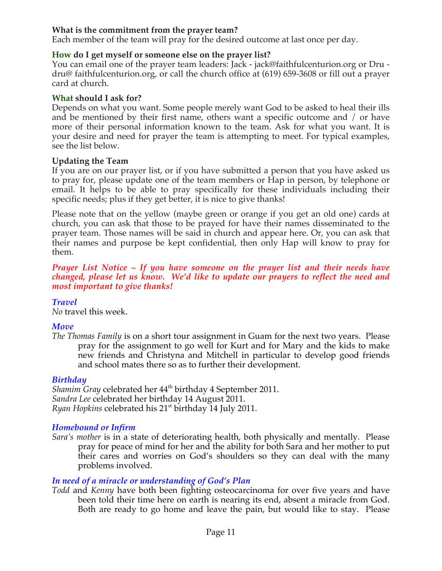### **What is the commitment from the prayer team?**

Each member of the team will pray for the desired outcome at last once per day.

### **How do I get myself or someone else on the prayer list?**

You can email one of the prayer team leaders: Jack - jack@faithfulcenturion.org or Dru dru@ faithfulcenturion.org, or call the church office at (619) 659-3608 or fill out a prayer card at church.

### **What should I ask for?**

Depends on what you want. Some people merely want God to be asked to heal their ills and be mentioned by their first name, others want a specific outcome and / or have more of their personal information known to the team. Ask for what you want. It is your desire and need for prayer the team is attempting to meet. For typical examples, see the list below.

## **Updating the Team**

If you are on our prayer list, or if you have submitted a person that you have asked us to pray for, please update one of the team members or Hap in person, by telephone or email. It helps to be able to pray specifically for these individuals including their specific needs; plus if they get better, it is nice to give thanks!

Please note that on the yellow (maybe green or orange if you get an old one) cards at church, you can ask that those to be prayed for have their names disseminated to the prayer team. Those names will be said in church and appear here. Or, you can ask that their names and purpose be kept confidential, then only Hap will know to pray for them.

#### *Prayer List Notice – If you have someone on the prayer list and their needs have changed, please let us know. We'd like to update our prayers to reflect the need and most important to give thanks!*

*Travel*

*No* travel this week.

# *Move*

*The Thomas Family* is on a short tour assignment in Guam for the next two years. Please pray for the assignment to go well for Kurt and for Mary and the kids to make new friends and Christyna and Mitchell in particular to develop good friends and school mates there so as to further their development.

# *Birthday*

*Shamim Gray celebrated her*  $44<sup>th</sup>$  birthday 4 September 2011. *Sandra Lee* celebrated her birthday 14 August 2011. *Ryan Hopkins* celebrated his 21st birthday 14 July 2011.

### *Homebound or Infirm*

*Sara's mother* is in a state of deteriorating health, both physically and mentally. Please pray for peace of mind for her and the ability for both Sara and her mother to put their cares and worries on God's shoulders so they can deal with the many problems involved.

# *In need of a miracle or understanding of God's Plan*

*Todd* and *Kenny* have both been fighting osteocarcinoma for over five years and have been told their time here on earth is nearing its end, absent a miracle from God. Both are ready to go home and leave the pain, but would like to stay. Please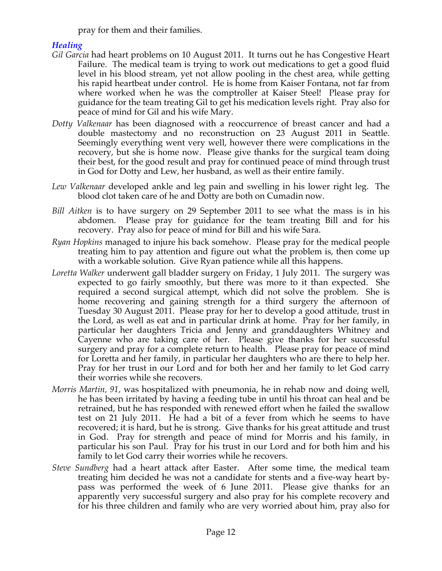pray for them and their families.

# *Healing*

- *Gil Garcia* had heart problems on 10 August 2011. It turns out he has Congestive Heart Failure. The medical team is trying to work out medications to get a good fluid level in his blood stream, yet not allow pooling in the chest area, while getting his rapid heartbeat under control. He is home from Kaiser Fontana, not far from where worked when he was the comptroller at Kaiser Steel! Please pray for guidance for the team treating Gil to get his medication levels right. Pray also for peace of mind for Gil and his wife Mary.
- *Dotty Valkenaar* has been diagnosed with a reoccurrence of breast cancer and had a double mastectomy and no reconstruction on 23 August 2011 in Seattle. Seemingly everything went very well, however there were complications in the recovery, but she is home now. Please give thanks for the surgical team doing their best, for the good result and pray for continued peace of mind through trust in God for Dotty and Lew, her husband, as well as their entire family.
- *Lew Valkenaar* developed ankle and leg pain and swelling in his lower right leg. The blood clot taken care of he and Dotty are both on Cumadin now.
- *Bill Aitken* is to have surgery on 29 September 2011 to see what the mass is in his abdomen. Please pray for guidance for the team treating Bill and for his recovery. Pray also for peace of mind for Bill and his wife Sara.
- *Ryan Hopkins* managed to injure his back somehow. Please pray for the medical people treating him to pay attention and figure out what the problem is, then come up with a workable solution. Give Ryan patience while all this happens.
- *Loretta Walker* underwent gall bladder surgery on Friday, 1 July 2011. The surgery was expected to go fairly smoothly, but there was more to it than expected. She required a second surgical attempt, which did not solve the problem. She is home recovering and gaining strength for a third surgery the afternoon of Tuesday 30 August 2011. Please pray for her to develop a good attitude, trust in the Lord, as well as eat and in particular drink at home. Pray for her family, in particular her daughters Tricia and Jenny and granddaughters Whitney and Cayenne who are taking care of her. Please give thanks for her successful surgery and pray for a complete return to health. Please pray for peace of mind for Loretta and her family, in particular her daughters who are there to help her. Pray for her trust in our Lord and for both her and her family to let God carry their worries while she recovers.
- *Morris Martin, 91,* was hospitalized with pneumonia, he in rehab now and doing well, he has been irritated by having a feeding tube in until his throat can heal and be retrained, but he has responded with renewed effort when he failed the swallow test on 21 July 2011. He had a bit of a fever from which he seems to have recovered; it is hard, but he is strong. Give thanks for his great attitude and trust in God. Pray for strength and peace of mind for Morris and his family, in particular his son Paul. Pray for his trust in our Lord and for both him and his family to let God carry their worries while he recovers.
- *Steve Sundberg* had a heart attack after Easter. After some time, the medical team treating him decided he was not a candidate for stents and a five-way heart bypass was performed the week of 6 June 2011. Please give thanks for an apparently very successful surgery and also pray for his complete recovery and for his three children and family who are very worried about him, pray also for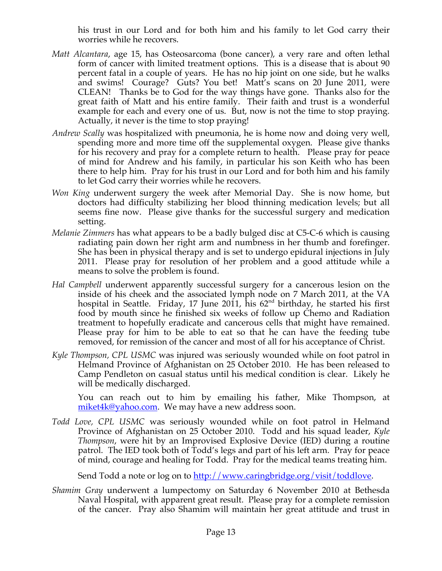his trust in our Lord and for both him and his family to let God carry their worries while he recovers.

- *Matt Alcantara*, age 15, has Osteosarcoma (bone cancer), a very rare and often lethal form of cancer with limited treatment options. This is a disease that is about 90 percent fatal in a couple of years. He has no hip joint on one side, but he walks and swims! Courage? Guts? You bet! Matt's scans on 20 June 2011, were CLEAN! Thanks be to God for the way things have gone. Thanks also for the great faith of Matt and his entire family. Their faith and trust is a wonderful example for each and every one of us. But, now is not the time to stop praying. Actually, it never is the time to stop praying!
- *Andrew Scally* was hospitalized with pneumonia, he is home now and doing very well, spending more and more time off the supplemental oxygen. Please give thanks for his recovery and pray for a complete return to health. Please pray for peace of mind for Andrew and his family, in particular his son Keith who has been there to help him. Pray for his trust in our Lord and for both him and his family to let God carry their worries while he recovers.
- *Won King* underwent surgery the week after Memorial Day. She is now home, but doctors had difficulty stabilizing her blood thinning medication levels; but all seems fine now. Please give thanks for the successful surgery and medication setting.
- *Melanie Zimmers* has what appears to be a badly bulged disc at C5-C-6 which is causing radiating pain down her right arm and numbness in her thumb and forefinger. She has been in physical therapy and is set to undergo epidural injections in July 2011. Please pray for resolution of her problem and a good attitude while a means to solve the problem is found.
- *Hal Campbell* underwent apparently successful surgery for a cancerous lesion on the inside of his cheek and the associated lymph node on 7 March 2011, at the VA hospital in Seattle. Friday, 17 June 2011, his  $62<sup>nd</sup>$  birthday, he started his first food by mouth since he finished six weeks of follow up Chemo and Radiation treatment to hopefully eradicate and cancerous cells that might have remained. Please pray for him to be able to eat so that he can have the feeding tube removed, for remission of the cancer and most of all for his acceptance of Christ.
- *Kyle Thompson, CPL USMC* was injured was seriously wounded while on foot patrol in Helmand Province of Afghanistan on 25 October 2010. He has been released to Camp Pendleton on casual status until his medical condition is clear. Likely he will be medically discharged.

You can reach out to him by emailing his father, Mike Thompson, at miket4k@yahoo.com. We may have a new address soon.

*Todd Love, CPL USMC* was seriously wounded while on foot patrol in Helmand Province of Afghanistan on 25 October 2010. Todd and his squad leader, *Kyle Thompson*, were hit by an Improvised Explosive Device (IED) during a routine patrol. The IED took both of Todd's legs and part of his left arm. Pray for peace of mind, courage and healing for Todd. Pray for the medical teams treating him.

Send Todd a note or log on to http://www.caringbridge.org/visit/toddlove.

*Shamim Gray* underwent a lumpectomy on Saturday 6 November 2010 at Bethesda Naval Hospital, with apparent great result. Please pray for a complete remission of the cancer. Pray also Shamim will maintain her great attitude and trust in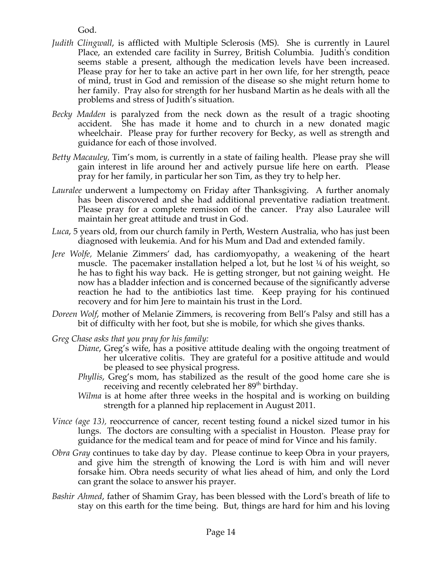God.

- *Judith Clingwall*, is afflicted with Multiple Sclerosis (MS). She is currently in Laurel Place, an extended care facility in Surrey, British Columbia. Judith's condition seems stable a present, although the medication levels have been increased. Please pray for her to take an active part in her own life, for her strength, peace of mind, trust in God and remission of the disease so she might return home to her family. Pray also for strength for her husband Martin as he deals with all the problems and stress of Judith's situation.
- *Becky Madden* is paralyzed from the neck down as the result of a tragic shooting accident. She has made it home and to church in a new donated magic wheelchair. Please pray for further recovery for Becky, as well as strength and guidance for each of those involved.
- *Betty Macauley,* Tim's mom, is currently in a state of failing health. Please pray she will gain interest in life around her and actively pursue life here on earth. Please pray for her family, in particular her son Tim, as they try to help her.
- *Lauralee* underwent a lumpectomy on Friday after Thanksgiving. A further anomaly has been discovered and she had additional preventative radiation treatment. Please pray for a complete remission of the cancer. Pray also Lauralee will maintain her great attitude and trust in God.
- *Luca*, 5 years old, from our church family in Perth, Western Australia, who has just been diagnosed with leukemia. And for his Mum and Dad and extended family.
- *Jere Wolfe,* Melanie Zimmers' dad, has cardiomyopathy, a weakening of the heart muscle. The pacemaker installation helped a lot, but he lost ¼ of his weight, so he has to fight his way back. He is getting stronger, but not gaining weight. He now has a bladder infection and is concerned because of the significantly adverse reaction he had to the antibiotics last time. Keep praying for his continued recovery and for him Jere to maintain his trust in the Lord.
- *Doreen Wolf*, mother of Melanie Zimmers, is recovering from Bell's Palsy and still has a bit of difficulty with her foot, but she is mobile, for which she gives thanks.
- *Greg Chase asks that you pray for his family:*
	- *Diane*, Greg's wife, has a positive attitude dealing with the ongoing treatment of her ulcerative colitis. They are grateful for a positive attitude and would be pleased to see physical progress.
	- *Phyllis*, Greg's mom, has stabilized as the result of the good home care she is receiving and recently celebrated her 89<sup>th</sup> birthday.
	- *Wilma* is at home after three weeks in the hospital and is working on building strength for a planned hip replacement in August 2011.
- *Vince (age 13), reoccurrence of cancer, recent testing found a nickel sized tumor in his* lungs. The doctors are consulting with a specialist in Houston. Please pray for guidance for the medical team and for peace of mind for Vince and his family.
- *Obra Gray* continues to take day by day. Please continue to keep Obra in your prayers, and give him the strength of knowing the Lord is with him and will never forsake him. Obra needs security of what lies ahead of him, and only the Lord can grant the solace to answer his prayer.
- *Bashir Ahmed*, father of Shamim Gray, has been blessed with the Lord's breath of life to stay on this earth for the time being. But, things are hard for him and his loving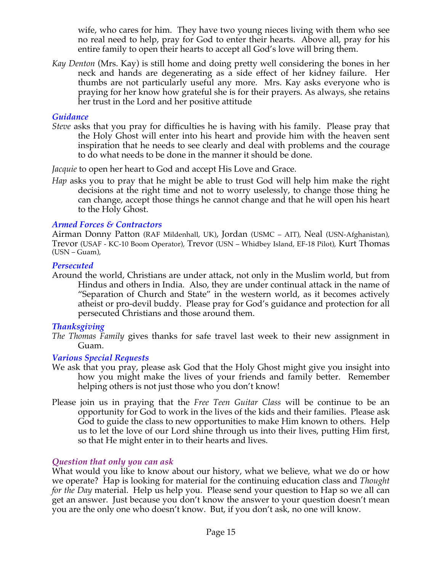wife, who cares for him. They have two young nieces living with them who see no real need to help, pray for God to enter their hearts. Above all, pray for his entire family to open their hearts to accept all God's love will bring them.

*Kay Denton* (Mrs. Kay) is still home and doing pretty well considering the bones in her neck and hands are degenerating as a side effect of her kidney failure. Her thumbs are not particularly useful any more. Mrs. Kay asks everyone who is praying for her know how grateful she is for their prayers. As always, she retains her trust in the Lord and her positive attitude.

#### *Guidance*

*Steve* asks that you pray for difficulties he is having with his family. Please pray that the Holy Ghost will enter into his heart and provide him with the heaven sent inspiration that he needs to see clearly and deal with problems and the courage to do what needs to be done in the manner it should be done.

*Jacquie* to open her heart to God and accept His Love and Grace.

*Hap* asks you to pray that he might be able to trust God will help him make the right decisions at the right time and not to worry uselessly, to change those thing he can change, accept those things he cannot change and that he will open his heart to the Holy Ghost.

#### *Armed Forces & Contractors*

Airman Donny Patton (RAF Mildenhall, UK), Jordan (USMC – AIT), Neal (USN-Afghanistan), Trevor (USAF - KC-10 Boom Operator), Trevor (USN – Whidbey Island, EF-18 Pilot), Kurt Thomas (USN – Guam),

#### *Persecuted*

Around the world, Christians are under attack, not only in the Muslim world, but from Hindus and others in India. Also, they are under continual attack in the name of "Separation of Church and State" in the western world, as it becomes actively atheist or pro-devil buddy. Please pray for God's guidance and protection for all persecuted Christians and those around them.

### *Thanksgiving*

*The Thomas Family* gives thanks for safe travel last week to their new assignment in Guam.

#### *Various Special Requests*

- We ask that you pray, please ask God that the Holy Ghost might give you insight into how you might make the lives of your friends and family better. Remember helping others is not just those who you don't know!
- Please join us in praying that the *Free Teen Guitar Class* will be continue to be an opportunity for God to work in the lives of the kids and their families. Please ask God to guide the class to new opportunities to make Him known to others. Help us to let the love of our Lord shine through us into their lives, putting Him first, so that He might enter in to their hearts and lives.

### *Question that only you can ask*

What would you like to know about our history, what we believe, what we do or how we operate? Hap is looking for material for the continuing education class and *Thought for the Day* material. Help us help you. Please send your question to Hap so we all can get an answer. Just because you don't know the answer to your question doesn't mean you are the only one who doesn't know. But, if you don't ask, no one will know.